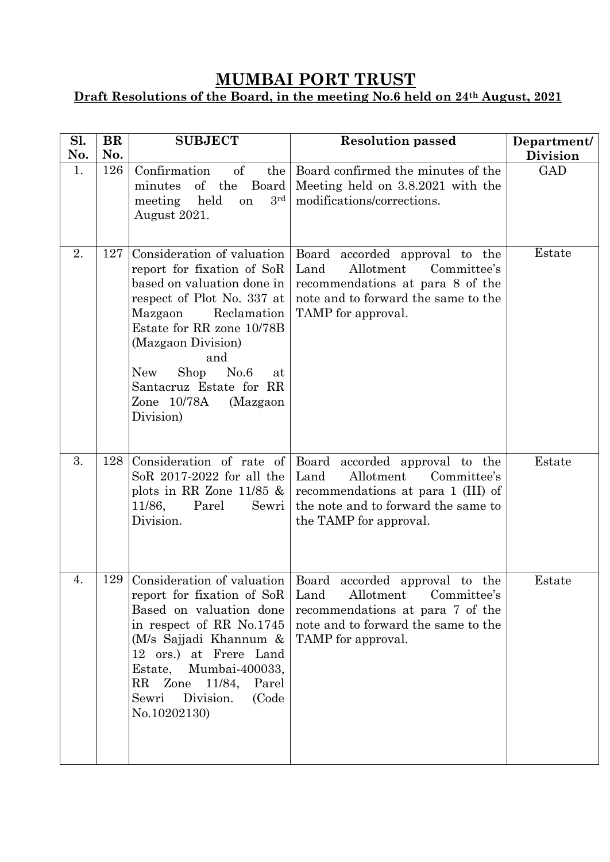## **MUMBAI PORT TRUST**

## **Draft Resolutions of the Board, in the meeting No.6 held on 24th August, 2021**

| Sl.<br>No. | <b>BR</b><br>No. | <b>SUBJECT</b>                                                                                                                                                                                                                                                                                                  | <b>Resolution passed</b>                                                                                                                                                                             | Department/<br><b>Division</b> |
|------------|------------------|-----------------------------------------------------------------------------------------------------------------------------------------------------------------------------------------------------------------------------------------------------------------------------------------------------------------|------------------------------------------------------------------------------------------------------------------------------------------------------------------------------------------------------|--------------------------------|
| 1.         | 126              | Confirmation<br>$\mathrm{of}$<br>the<br>of the<br>Board<br>minutes<br>3 <sup>rd</sup><br>meeting<br>held<br>on<br>August 2021.                                                                                                                                                                                  | Board confirmed the minutes of the<br>Meeting held on 3.8.2021 with the<br>modifications/corrections.                                                                                                | GAD                            |
| 2.         | 127              | Consideration of valuation<br>report for fixation of SoR<br>based on valuation done in<br>respect of Plot No. 337 at<br>Mazgaon<br>Reclamation<br>Estate for RR zone 10/78B<br>(Mazgaon Division)<br>and<br>No.6<br>Shop<br><b>New</b><br>at<br>Santacruz Estate for RR<br>Zone 10/78A<br>(Mazgaon<br>Division) | Board accorded approval to the<br>Allotment<br>Land<br>Committee's<br>recommendations at para 8 of the<br>note and to forward the same to the<br>TAMP for approval.                                  | Estate                         |
| 3.         | 128              | Consideration of rate of<br>So $R$ 2017-2022 for all the<br>plots in RR Zone $11/85$ &<br>11/86,<br>Parel<br>Sewri<br>Division.                                                                                                                                                                                 | Board<br>accorded approval to the<br>Allotment<br>Land<br>Committee's<br>recommendations at para 1 (III) of<br>the note and to forward the same to<br>the TAMP for approval.                         | Estate                         |
| 4.         |                  | report for fixation of SoR<br>Based on valuation done<br>in respect of RR No.1745<br>(M/s Sajjadi Khannum $\&$<br>12 ors.) at Frere Land<br>Mumbai-400033,<br>Estate,<br>RR Zone 11/84,<br>Parel<br>Division.<br>(Code<br>Sewri<br>No.10202130)                                                                 | 129 Consideration of valuation   Board accorded approval to the<br>Allotment<br>Land<br>Committee's<br>recommendations at para 7 of the<br>note and to forward the same to the<br>TAMP for approval. | Estate                         |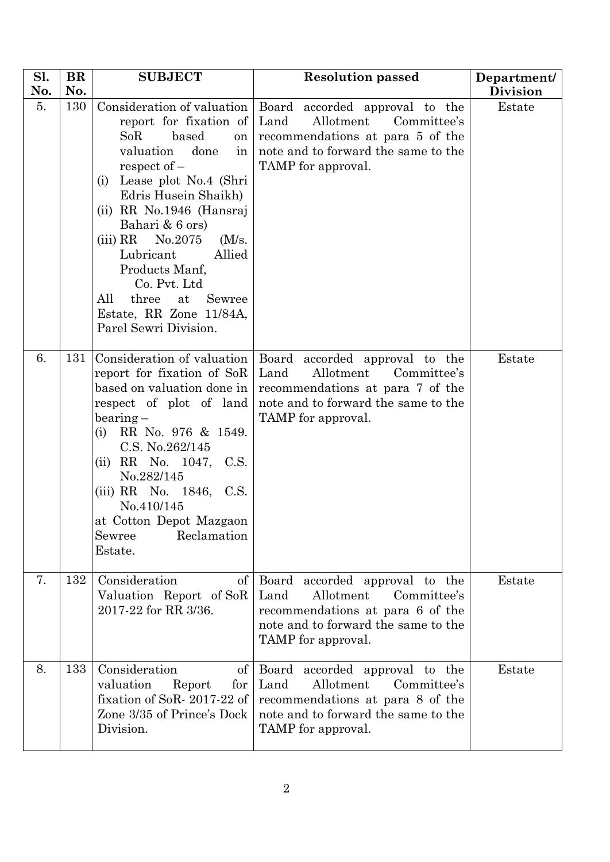| Sl.<br>No. | <b>BR</b><br>No. | <b>SUBJECT</b>                                                                                                                                                                                                                                                                                                                                                                 | <b>Resolution passed</b>                                                                                                                                                                         | Department/<br><b>Division</b> |
|------------|------------------|--------------------------------------------------------------------------------------------------------------------------------------------------------------------------------------------------------------------------------------------------------------------------------------------------------------------------------------------------------------------------------|--------------------------------------------------------------------------------------------------------------------------------------------------------------------------------------------------|--------------------------------|
| 5.         | 130              | report for fixation of<br>SoR<br>based<br>on<br>done<br>valuation<br>in<br>respect of $-$<br>(i) Lease plot No.4 (Shri<br>Edris Husein Shaikh)<br>(ii) RR No.1946 (Hansraj<br>Bahari & 6 ors)<br>(iii) RR<br>No.2075<br>$(M/s)$ .<br>Lubricant<br>Allied<br>Products Manf,<br>Co. Pvt. Ltd<br>All<br>three<br>at<br>Sewree<br>Estate, RR Zone 11/84A,<br>Parel Sewri Division. | Consideration of valuation   Board accorded approval to the<br>Allotment<br>Land<br>Committee's<br>recommendations at para 5 of the<br>note and to forward the same to the<br>TAMP for approval. | Estate                         |
| 6.         | 131              | Consideration of valuation<br>report for fixation of SoR<br>based on valuation done in<br>respect of plot of land<br>$\bar{b}$ bearing $-$<br>RR No. 976 & 1549.<br>(i)<br>C.S. No.262/145<br>(ii) RR No. 1047, C.S.<br>No.282/145<br>(iii) RR No. 1846, C.S.<br>No.410/145<br>at Cotton Depot Mazgaon<br>Reclamation<br>Sewree<br>Estate.                                     | Board accorded approval to the<br>Land<br>Allotment<br>Committee's<br>recommendations at para 7 of the<br>note and to forward the same to the<br>TAMP for approval.                              | Estate                         |
| 7.         | 132              | Consideration<br>$\sigma$<br>Valuation Report of SoR<br>2017-22 for RR 3/36.                                                                                                                                                                                                                                                                                                   | Board accorded approval to the<br>Land<br>Allotment<br>Committee's<br>recommendations at para 6 of the<br>note and to forward the same to the<br>TAMP for approval.                              | Estate                         |
| 8.         | 133              | Consideration<br>of<br>valuation<br>Report<br>${\rm for}$<br>fixation of SoR-2017-22 of<br>Zone 3/35 of Prince's Dock<br>Division.                                                                                                                                                                                                                                             | Board accorded approval to the<br>Land<br>Allotment<br>Committee's<br>recommendations at para 8 of the<br>note and to forward the same to the<br>TAMP for approval.                              | Estate                         |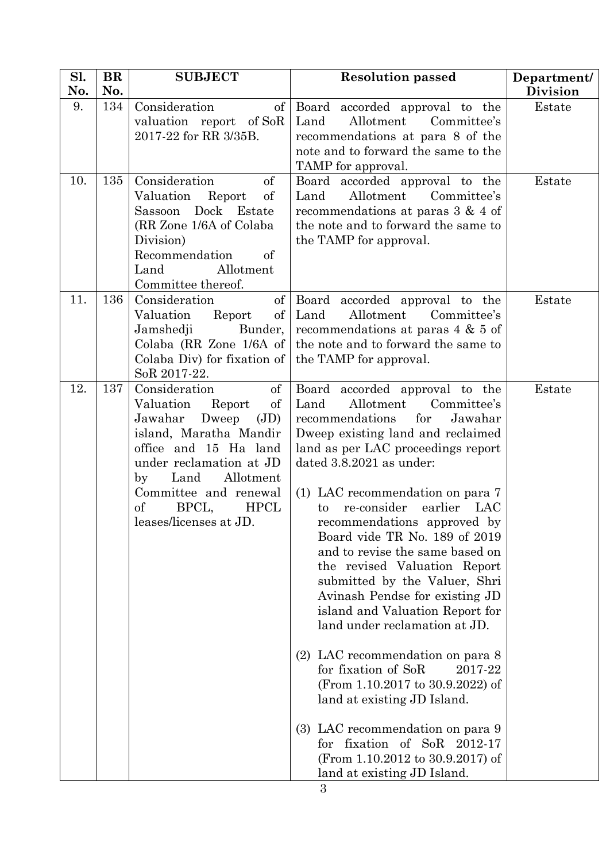| Sl.<br>No. | <b>BR</b><br>No. | <b>SUBJECT</b>                                                                                                                                                                                                                                                                    | <b>Resolution passed</b>                                                                                                                                                                                                                                                                                                                                                                                                                                                                                                                                                                                                                                                                                                                                                                                                                             | Department/<br><b>Division</b> |
|------------|------------------|-----------------------------------------------------------------------------------------------------------------------------------------------------------------------------------------------------------------------------------------------------------------------------------|------------------------------------------------------------------------------------------------------------------------------------------------------------------------------------------------------------------------------------------------------------------------------------------------------------------------------------------------------------------------------------------------------------------------------------------------------------------------------------------------------------------------------------------------------------------------------------------------------------------------------------------------------------------------------------------------------------------------------------------------------------------------------------------------------------------------------------------------------|--------------------------------|
| 9.         | 134              | Consideration<br>$\sigma$<br>valuation report of SoR<br>2017-22 for RR 3/35B.                                                                                                                                                                                                     | Board accorded approval to the<br>Land<br>Allotment<br>Committee's<br>recommendations at para 8 of the<br>note and to forward the same to the<br>TAMP for approval.                                                                                                                                                                                                                                                                                                                                                                                                                                                                                                                                                                                                                                                                                  | Estate                         |
| 10.        | 135              | Consideration<br>of<br>Valuation<br>Report<br>of<br>Dock Estate<br>Sassoon<br>(RR Zone 1/6A of Colaba<br>Division)<br>Recommendation<br>of<br>Allotment<br>Land<br>Committee thereof.                                                                                             | Board accorded approval to the<br>Allotment<br>Land<br>Committee's<br>recommendations at paras $3 \& 4$ of<br>the note and to forward the same to<br>the TAMP for approval.                                                                                                                                                                                                                                                                                                                                                                                                                                                                                                                                                                                                                                                                          | Estate                         |
| 11.        | 136              | Consideration<br>of<br>Valuation<br>$\sigma$<br>Report<br>Jamshedji<br>Bunder,<br>Colaba (RR Zone $1/6A$ of<br>Colaba Div) for fixation of<br>SoR 2017-22.                                                                                                                        | Board accorded approval to the<br>Land<br>Allotment<br>Committee's<br>recommendations at paras $4 \& 5 \text{ of}$<br>the note and to forward the same to<br>the TAMP for approval.                                                                                                                                                                                                                                                                                                                                                                                                                                                                                                                                                                                                                                                                  | Estate                         |
| 12.        | 137              | Consideration<br>of<br>Valuation<br>of<br>Report<br>Jawahar<br>Dweep<br>(JD)<br>island, Maratha Mandir<br>office and 15 Ha land<br>under reclamation at JD<br>Allotment<br>Land<br>by<br>Committee and renewal<br><sub>of</sub><br>BPCL,<br><b>HPCL</b><br>leases/licenses at JD. | Board accorded approval to the<br>Allotment<br>Land<br>Committee's<br>for<br>recommendations<br>Jawahar<br>Dweep existing land and reclaimed<br>land as per LAC proceedings report<br>dated 3.8.2021 as under:<br>(1) LAC recommendation on para 7<br>earlier LAC<br>re-consider<br>to<br>recommendations approved by<br>Board vide TR No. 189 of 2019<br>and to revise the same based on<br>the revised Valuation Report<br>submitted by the Valuer, Shri<br>Avinash Pendse for existing JD<br>island and Valuation Report for<br>land under reclamation at JD.<br>(2) LAC recommendation on para 8<br>for fixation of SoR<br>2017-22<br>(From 1.10.2017 to 30.9.2022) of<br>land at existing JD Island.<br>(3) LAC recommendation on para 9<br>for fixation of SoR 2012-17<br>(From 1.10.2012 to 30.9.2017) of<br>land at existing JD Island.<br>3 | Estate                         |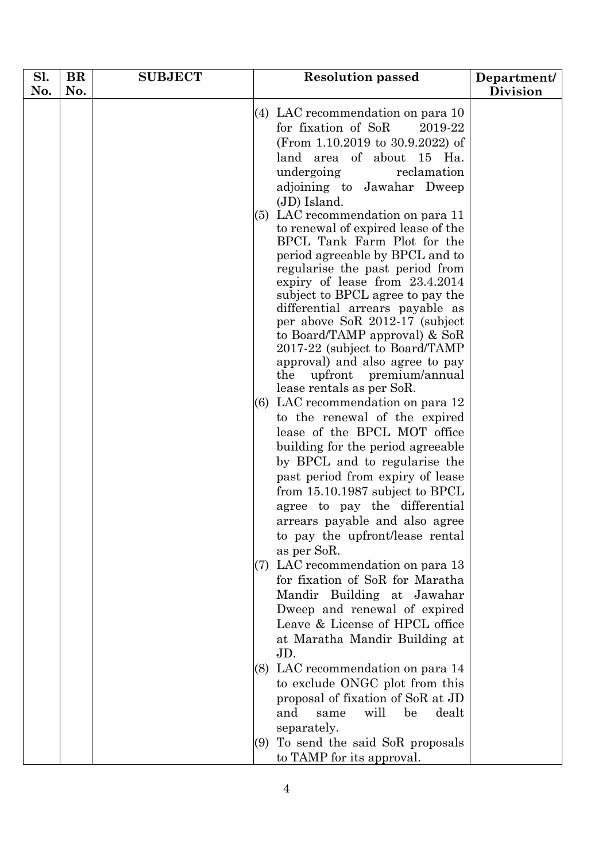| Sl. | BR  | <b>SUBJECT</b> | <b>Resolution passed</b>                                                                                                                                                                                                                                                                                                                                                                                                                                                          | Department/     |
|-----|-----|----------------|-----------------------------------------------------------------------------------------------------------------------------------------------------------------------------------------------------------------------------------------------------------------------------------------------------------------------------------------------------------------------------------------------------------------------------------------------------------------------------------|-----------------|
| No. | No. |                |                                                                                                                                                                                                                                                                                                                                                                                                                                                                                   | <b>Division</b> |
|     |     |                | $(4)$ LAC recommendation on para 10<br>for fixation of SoR<br>2019-22<br>(From 1.10.2019 to 30.9.2022) of<br>land area of about 15 Ha.<br>undergoing<br>reclamation<br>adjoining to Jawahar Dweep                                                                                                                                                                                                                                                                                 |                 |
|     |     |                | (JD) Island.<br>(5) LAC recommendation on para 11<br>to renewal of expired lease of the<br>BPCL Tank Farm Plot for the<br>period agreeable by BPCL and to<br>regularise the past period from<br>expiry of lease from 23.4.2014<br>subject to BPCL agree to pay the<br>differential arrears payable as<br>per above SoR 2012-17 (subject<br>to Board/TAMP approval) $&$ SoR<br>2017-22 (subject to Board/TAMP)<br>approval) and also agree to pay<br>the<br>upfront premium/annual |                 |
|     |     |                | lease rentals as per SoR.<br>$(6)$ LAC recommendation on para 12<br>to the renewal of the expired<br>lease of the BPCL MOT office<br>building for the period agreeable<br>by BPCL and to regularise the<br>past period from expiry of lease<br>from $15.10.1987$ subject to BPCL<br>agree to pay the differential<br>arrears payable and also agree<br>to pay the upfront/lease rental                                                                                            |                 |
|     |     |                | as per SoR.<br>LAC recommendation on para 13<br>(7)<br>for fixation of SoR for Maratha<br>Mandir Building at Jawahar<br>Dweep and renewal of expired<br>Leave & License of HPCL office<br>at Maratha Mandir Building at<br>JD.                                                                                                                                                                                                                                                    |                 |
|     |     |                | LAC recommendation on para 14<br>(8)<br>to exclude ONGC plot from this<br>proposal of fixation of SoR at JD<br>will<br>and<br>be<br>dealt<br>same<br>separately.<br>To send the said SoR proposals<br>(9)<br>to TAMP for its approval.                                                                                                                                                                                                                                            |                 |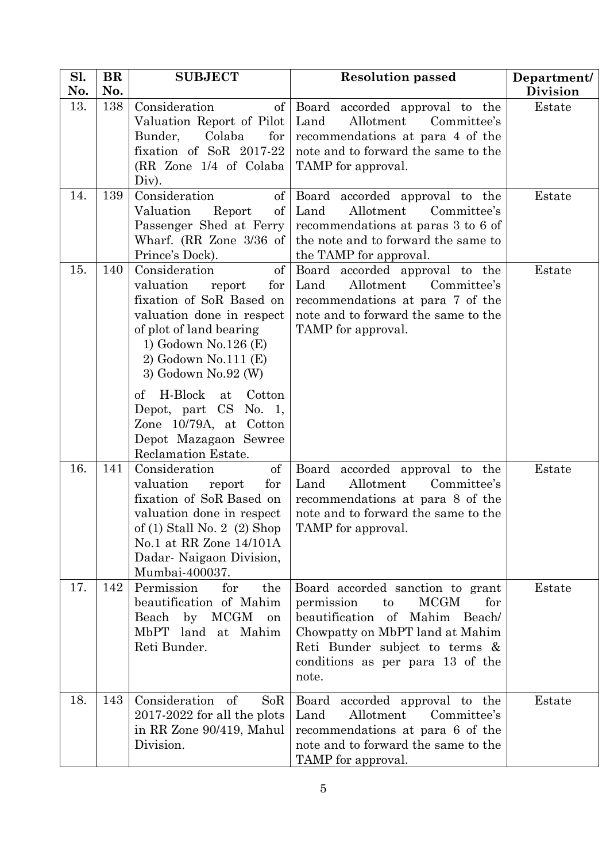| Sl.<br>No. | <b>BR</b><br>No. | <b>SUBJECT</b>                                                                                                                                                                                                                                                                                                                       | <b>Resolution passed</b>                                                                                                                                                                                                       | Department/<br><b>Division</b> |
|------------|------------------|--------------------------------------------------------------------------------------------------------------------------------------------------------------------------------------------------------------------------------------------------------------------------------------------------------------------------------------|--------------------------------------------------------------------------------------------------------------------------------------------------------------------------------------------------------------------------------|--------------------------------|
| 13.        | 138              | Consideration<br>of<br>Valuation Report of Pilot<br>Bunder,<br>Colaba<br>for<br>fixation of SoR 2017-22<br>(RR Zone 1/4 of Colaba)<br>Div).                                                                                                                                                                                          | Board accorded approval to the<br>Land<br>Allotment<br>Committee's<br>recommendations at para 4 of the<br>note and to forward the same to the<br>TAMP for approval.                                                            | Estate                         |
| 14.        | 139              | Consideration<br>$\alpha$<br>$\sigma$<br>Valuation<br>Report<br>Passenger Shed at Ferry<br>Wharf. (RR Zone $3/36$ of<br>Prince's Dock).                                                                                                                                                                                              | Board accorded approval to the<br>Land<br>Allotment<br>Committee's<br>recommendations at paras 3 to 6 of<br>the note and to forward the same to<br>the TAMP for approval.                                                      | Estate                         |
| 15.        | 140              | Consideration<br>$\mathrm{of}$<br>valuation<br>for<br>report<br>fixation of SoR Based on<br>valuation done in respect<br>of plot of land bearing<br>1) Godown No.126 (E)<br>2) Godown No.111 (E)<br>3) Godown No.92 (W)<br>H-Block<br>of<br>at<br>Cotton<br>Depot, part CS No. 1,<br>Zone 10/79A, at Cotton<br>Depot Mazagaon Sewree | Board accorded approval to the<br>Allotment<br>Committee's<br>Land<br>recommendations at para 7 of the<br>note and to forward the same to the<br>TAMP for approval.                                                            | Estate                         |
| 16.        | 141              | Reclamation Estate.<br>Consideration<br>of<br>valuation<br>for<br>report<br>fixation of SoR Based on<br>valuation done in respect<br>of $(1)$ Stall No. 2 $(2)$ Shop<br>No.1 at RR Zone 14/101A<br>Dadar- Naigaon Division,<br>Mumbai-400037.                                                                                        | Board accorded approval to the<br>Allotment<br>Land<br>Committee's<br>recommendations at para 8 of the<br>note and to forward the same to the<br>TAMP for approval.                                                            | Estate                         |
| 17.        | 142              | Permission<br>for<br>the<br>beautification of Mahim<br>Beach by MCGM<br>on<br>MbPT land at Mahim<br>Reti Bunder.                                                                                                                                                                                                                     | Board accorded sanction to grant<br><b>MCGM</b><br>permission<br>to<br>for<br>beautification of Mahim Beach/<br>Chowpatty on MbPT land at Mahim<br>Reti Bunder subject to terms &<br>conditions as per para 13 of the<br>note. | Estate                         |
| 18.        | 143              | Consideration<br>of<br>SoR<br>$2017-2022$ for all the plots<br>in RR Zone 90/419, Mahul<br>Division.                                                                                                                                                                                                                                 | Board accorded approval to the<br>Land<br>Allotment<br>Committee's<br>recommendations at para 6 of the<br>note and to forward the same to the<br>TAMP for approval.                                                            | Estate                         |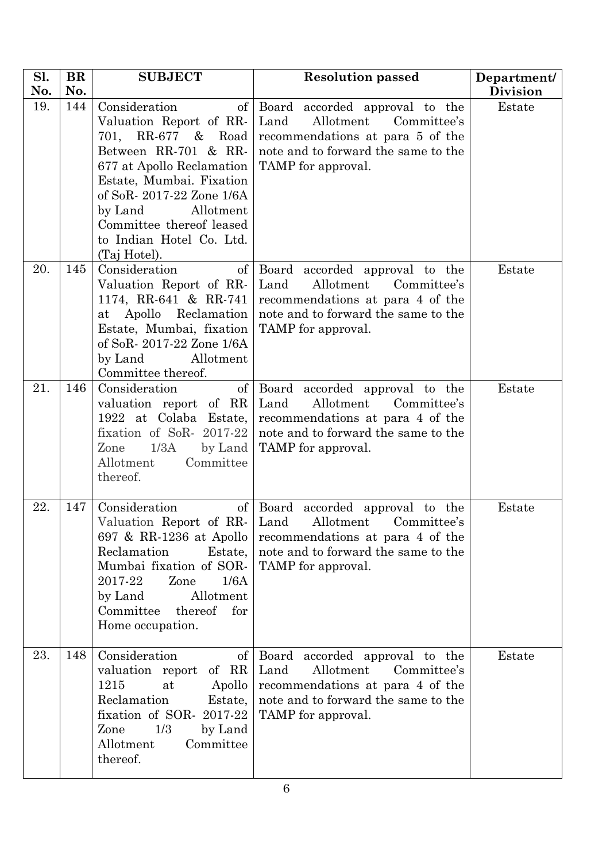| Sl. | <b>BR</b> | <b>SUBJECT</b>                                                                                                                                                                                                                                                                                  | <b>Resolution passed</b>                                                                                                                                               | Department/     |
|-----|-----------|-------------------------------------------------------------------------------------------------------------------------------------------------------------------------------------------------------------------------------------------------------------------------------------------------|------------------------------------------------------------------------------------------------------------------------------------------------------------------------|-----------------|
| No. | No.       |                                                                                                                                                                                                                                                                                                 |                                                                                                                                                                        | <b>Division</b> |
| 19. | 144       | Consideration<br>$\left  \right $<br>Valuation Report of RR-<br>701, RR-677 & Road<br>Between RR-701 & RR-<br>677 at Apollo Reclamation<br>Estate, Mumbai. Fixation<br>of SoR-2017-22 Zone 1/6A<br>by Land<br>Allotment<br>Committee thereof leased<br>to Indian Hotel Co. Ltd.<br>(Taj Hotel). | Board accorded approval to the<br>Land<br>Allotment<br>Committee's<br>recommendations at para 5 of the<br>note and to forward the same to the<br>TAMP for approval.    | Estate          |
| 20. | 145       | Consideration<br>of<br>Valuation Report of RR-<br>1174, RR-641 & RR-741<br>Apollo Reclamation<br>$\operatorname{at}$<br>Estate, Mumbai, fixation<br>of SoR-2017-22 Zone 1/6A<br>by Land<br>Allotment<br>Committee thereof.                                                                      | Board accorded approval to the<br>Land<br>Allotment<br>Committee's<br>recommendations at para 4 of the<br>note and to forward the same to the<br>TAMP for approval.    | Estate          |
| 21. | 146       | Consideration<br>$\sigma$<br>valuation report of RR<br>1922 at Colaba Estate,<br>fixation of SoR- $2017-22$<br>by Land<br>Zone<br>1/3A<br>Committee<br>Allotment<br>thereof.                                                                                                                    | Board<br>accorded approval to the<br>Land<br>Allotment<br>Committee's<br>recommendations at para 4 of the<br>note and to forward the same to the<br>TAMP for approval. | Estate          |
| 22. | 147       | Consideration<br>Valuation Report of RR- Land<br>697 & RR-1236 at Apollo<br>Reclamation<br>Estate,<br>Mumbai fixation of SOR-<br>2017-22<br>Zone<br>1/6A<br>by Land<br>Allotment<br>Committee thereof<br>for<br>Home occupation.                                                                | of Board accorded approval to the<br>Allotment<br>Committee's<br>recommendations at para 4 of the<br>note and to forward the same to the<br>TAMP for approval.         | Estate          |
| 23. | 148       | Consideration<br>$\sigma f$<br>valuation report<br>of RR<br>1215<br>Apollo<br>at<br>Reclamation<br>Estate,<br>fixation of SOR- 2017-22<br>1/3<br>Zone<br>by Land<br>Allotment<br>Committee<br>thereof.                                                                                          | Board accorded approval to the<br>Land<br>Allotment<br>Committee's<br>recommendations at para 4 of the<br>note and to forward the same to the<br>TAMP for approval.    | Estate          |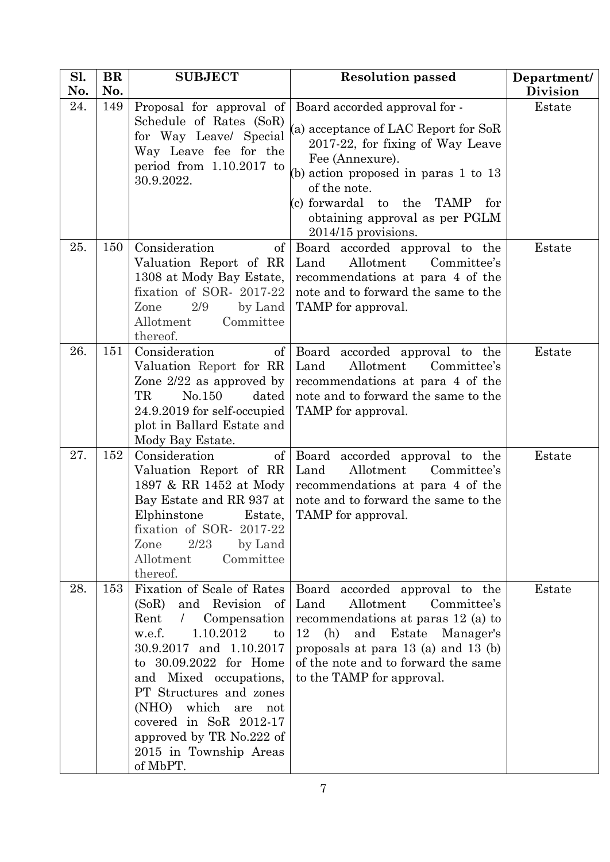| Sl.<br>No. | <b>BR</b><br>No. | <b>SUBJECT</b>                                                                                                                                                                                                                                                                                                                                                          | <b>Resolution passed</b>                                                                                                                                                                                                                                                                          | Department/               |
|------------|------------------|-------------------------------------------------------------------------------------------------------------------------------------------------------------------------------------------------------------------------------------------------------------------------------------------------------------------------------------------------------------------------|---------------------------------------------------------------------------------------------------------------------------------------------------------------------------------------------------------------------------------------------------------------------------------------------------|---------------------------|
| 24.        | 149              | Proposal for approval of<br>Schedule of Rates (SoR)<br>for Way Leave/ Special<br>Way Leave fee for the<br>period from $1.10.2017$ to<br>30.9.2022.                                                                                                                                                                                                                      | Board accorded approval for -<br>(a) acceptance of LAC Report for SoR<br>2017-22, for fixing of Way Leave<br>Fee (Annexure).<br>(b) action proposed in paras $1$ to $13$<br>of the note.<br>(c) forwardal to the<br><b>TAMP</b><br>for<br>obtaining approval as per PGLM<br>$2014/15$ provisions. | <b>Division</b><br>Estate |
| 25.        | 150              | Consideration<br>$\mathrm{of}$<br>Valuation Report of RR<br>1308 at Mody Bay Estate,<br>fixation of SOR- 2017-22<br>2/9<br>by Land<br>Zone<br>Allotment<br>Committee<br>thereof.                                                                                                                                                                                        | Board accorded approval to the<br>Allotment<br>Land<br>Committee's<br>recommendations at para 4 of the<br>note and to forward the same to the<br>TAMP for approval.                                                                                                                               | Estate                    |
| 26.        | 151              | Consideration<br>$\sigma f$<br>Valuation Report for RR<br>Zone $2/22$ as approved by<br>TR<br>No.150<br>dated<br>24.9.2019 for self-occupied<br>plot in Ballard Estate and<br>Mody Bay Estate.                                                                                                                                                                          | Board accorded approval to the<br>Allotment<br>Committee's<br>Land<br>recommendations at para 4 of the<br>note and to forward the same to the<br>TAMP for approval.                                                                                                                               | Estate                    |
| 27.        | 152              | Consideration<br>$\sigma f$<br>Valuation Report of RR<br>1897 & RR 1452 at Mody<br>Bay Estate and RR 937 at<br>Elphinstone<br>Estate,<br>fixation of SOR- 2017-22<br>2/23<br>by Land<br>Zone<br>Allotment<br>Committee<br>thereof.                                                                                                                                      | Board accorded approval to the<br>Allotment<br>Land<br>Committee's<br>recommendations at para 4 of the<br>note and to forward the same to the<br>TAMP for approval.                                                                                                                               | Estate                    |
| 28.        | 153              | Fixation of Scale of Rates<br>and Revision of<br>(SoR)<br>Rent<br>Compensation<br>$\sqrt{2}$<br>w.e.f.<br>1.10.2012<br>$\mathbf{to}$<br>30.9.2017 and 1.10.2017<br>to 30.09.2022 for Home<br>and Mixed occupations,<br>PT Structures and zones<br>(NHO) which<br>are<br>not<br>covered in SoR 2012-17<br>approved by TR No.222 of<br>2015 in Township Areas<br>of MbPT. | Board accorded approval to the<br>Land<br>Allotment<br>Committee's<br>recommendations at paras 12 (a) to<br>and Estate<br>12<br>(h)<br>Manager's<br>proposals at para $13$ (a) and $13$ (b)<br>of the note and to forward the same<br>to the TAMP for approval.                                   | Estate                    |